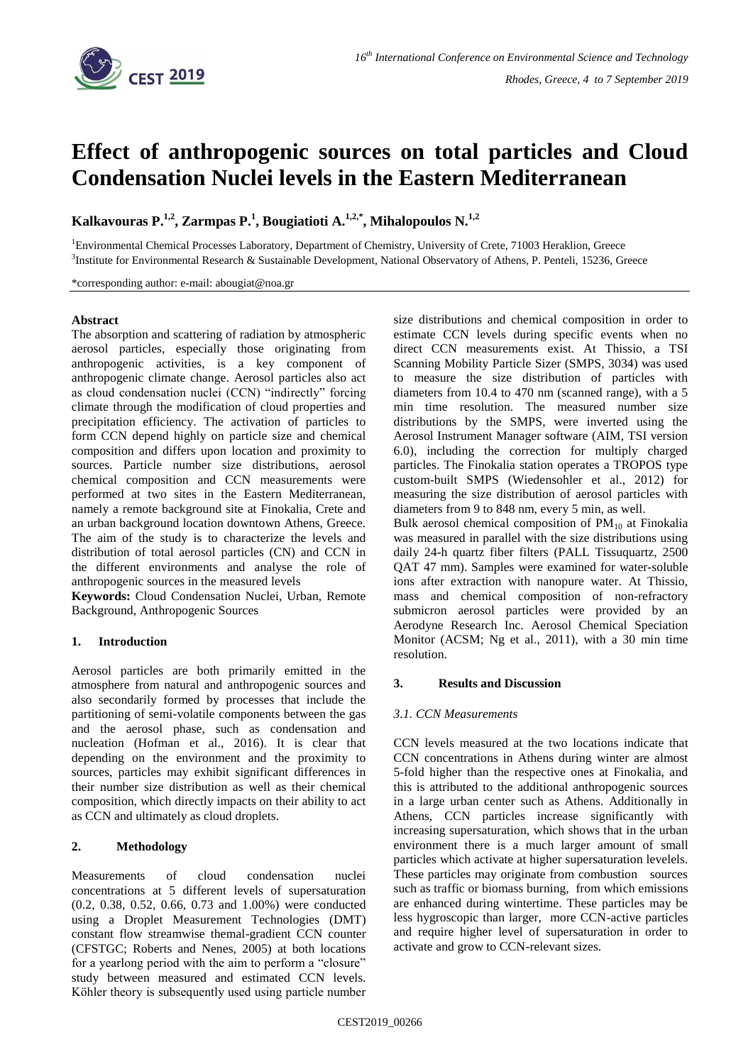

# **Effect of anthropogenic sources on total particles and Cloud Condensation Nuclei levels in the Eastern Mediterranean**

**Kalkavouras P.1,2 , Zarmpas P.<sup>1</sup> , Bougiatioti A.1,2,\* , Mihalopoulos N.1,2**

<sup>1</sup>Environmental Chemical Processes Laboratory, Department of Chemistry, University of Crete, 71003 Heraklion, Greece <sup>3</sup>Institute for Environmental Research & Sustainable Development, National Observatory of Athens, P. Penteli, 15236, Greece

\*corresponding author: e-mail: abougiat@noa.gr

#### **Abstract**

The absorption and scattering of radiation by atmospheric aerosol particles, especially those originating from anthropogenic activities, is a key component of anthropogenic climate change. Aerosol particles also act as cloud condensation nuclei (CCN) "indirectly" forcing climate through the modification of cloud properties and precipitation efficiency. The activation of particles to form CCN depend highly on particle size and chemical composition and differs upon location and proximity to sources. Particle number size distributions, aerosol chemical composition and CCN measurements were performed at two sites in the Eastern Mediterranean, namely a remote background site at Finokalia, Crete and an urban background location downtown Athens, Greece. The aim of the study is to characterize the levels and distribution of total aerosol particles (CN) and CCN in the different environments and analyse the role of anthropogenic sources in the measured levels

**Keywords:** Cloud Condensation Nuclei, Urban, Remote Background, Anthropogenic Sources

# **1. Introduction**

Aerosol particles are both primarily emitted in the atmosphere from natural and anthropogenic sources and also secondarily formed by processes that include the partitioning of semi-volatile components between the gas and the aerosol phase, such as condensation and nucleation (Hofman et al., 2016). It is clear that depending on the environment and the proximity to sources, particles may exhibit significant differences in their number size distribution as well as their chemical composition, which directly impacts on their ability to act as CCN and ultimately as cloud droplets.

# **2. Methodology**

Measurements of cloud condensation nuclei concentrations at 5 different levels of supersaturation (0.2, 0.38, 0.52, 0.66, 0.73 and 1.00%) were conducted using a Droplet Measurement Technologies (DMT) constant flow streamwise themal-gradient CCN counter (CFSTGC; Roberts and Nenes, 2005) at both locations for a yearlong period with the aim to perform a "closure" study between measured and estimated CCN levels. Köhler theory is subsequently used using particle number

size distributions and chemical composition in order to estimate CCN levels during specific events when no direct CCN measurements exist. At Thissio, a TSI Scanning Mobility Particle Sizer (SMPS, 3034) was used to measure the size distribution of particles with diameters from 10.4 to 470 nm (scanned range), with a 5 min time resolution. The measured number size distributions by the SMPS, were inverted using the Aerosol Instrument Manager software (AIM, TSI version 6.0), including the correction for multiply charged particles. The Finokalia station operates a TROPOS type custom-built SMPS (Wiedensohler et al., 2012) for measuring the size distribution of aerosol particles with diameters from 9 to 848 nm, every 5 min, as well.

Bulk aerosol chemical composition of  $PM_{10}$  at Finokalia was measured in parallel with the size distributions using daily 24-h quartz fiber filters (PALL Tissuquartz, 2500 QAT 47 mm). Samples were examined for water-soluble ions after extraction with nanopure water. At Thissio, mass and chemical composition of non-refractory submicron aerosol particles were provided by an Aerodyne Research Inc. Aerosol Chemical Speciation Monitor (ACSM; Ng et al., 2011), with a 30 min time resolution.

# **3. Results and Discussion**

# *3.1. CCN Measurements*

CCN levels measured at the two locations indicate that CCN concentrations in Athens during winter are almost 5-fold higher than the respective ones at Finokalia, and this is attributed to the additional anthropogenic sources in a large urban center such as Athens. Additionally in Athens, CCN particles increase significantly with increasing supersaturation, which shows that in the urban environment there is a much larger amount of small particles which activate at higher supersaturation levelels. These particles may originate from combustion sources such as traffic or biomass burning, from which emissions are enhanced during wintertime. These particles may be less hygroscopic than larger, more CCN-active particles and require higher level of supersaturation in order to activate and grow to CCN-relevant sizes.